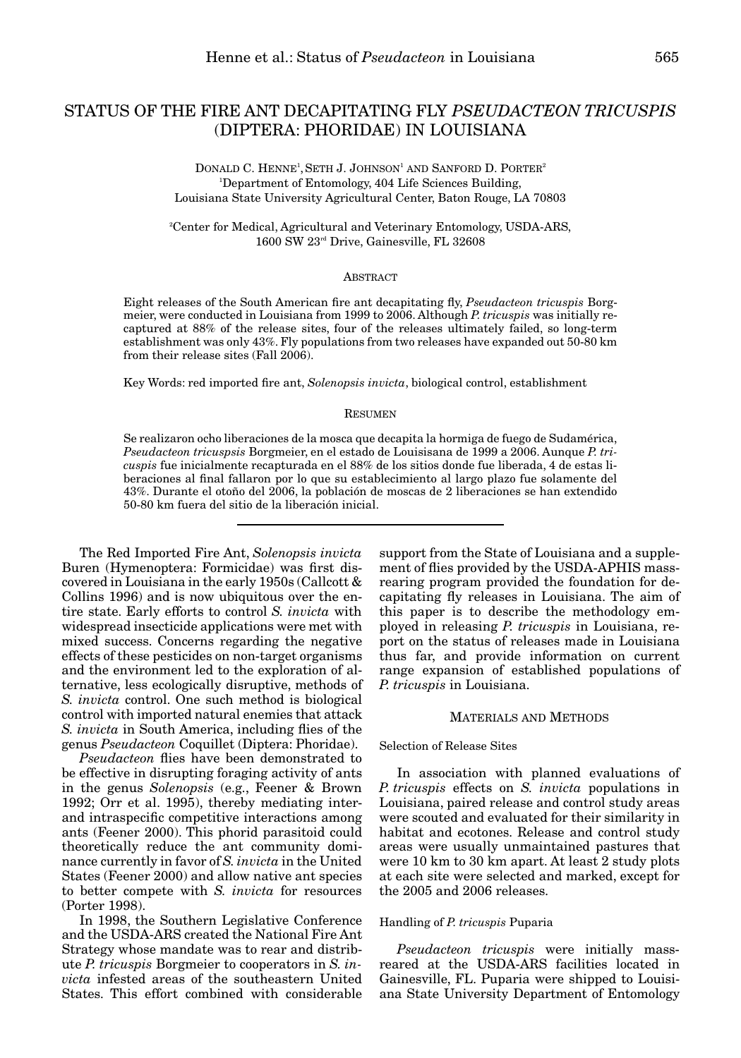# STATUS OF THE FIRE ANT DECAPITATING FLY *PSEUDACTEON TRICUSPIS* (DIPTERA: PHORIDAE) IN LOUISIANA

DONALD C. HENNE<sup>1</sup>, SETH J. JOHNSON<sup>1</sup> AND SANFORD D. PORTER<sup>2</sup> 1 Department of Entomology, 404 Life Sciences Building, Louisiana State University Agricultural Center, Baton Rouge, LA 70803

2 Center for Medical, Agricultural and Veterinary Entomology, USDA-ARS, 1600 SW 23rd Drive, Gainesville, FL 32608

## ABSTRACT

Eight releases of the South American fire ant decapitating fly, *Pseudacteon tricuspis* Borgmeier, were conducted in Louisiana from 1999 to 2006. Although *P. tricuspis* was initially recaptured at 88% of the release sites, four of the releases ultimately failed, so long-term establishment was only 43%. Fly populations from two releases have expanded out 50-80 km from their release sites (Fall 2006).

Key Words: red imported fire ant, *Solenopsis invicta*, biological control, establishment

#### **RESUMEN**

Se realizaron ocho liberaciones de la mosca que decapita la hormiga de fuego de Sudamérica, *Pseudacteon tricuspsis* Borgmeier, en el estado de Louisisana de 1999 a 2006. Aunque *P. tricuspis* fue inicialmente recapturada en el 88% de los sitios donde fue liberada, 4 de estas liberaciones al final fallaron por lo que su establecimiento al largo plazo fue solamente del 43%. Durante el otoño del 2006, la población de moscas de 2 liberaciones se han extendido 50-80 km fuera del sitio de la liberación inicial.

The Red Imported Fire Ant, *Solenopsis invicta* Buren (Hymenoptera: Formicidae) was first discovered in Louisiana in the early 1950s (Callcott & Collins 1996) and is now ubiquitous over the entire state. Early efforts to control *S. invicta* with widespread insecticide applications were met with mixed success. Concerns regarding the negative effects of these pesticides on non-target organisms and the environment led to the exploration of alternative, less ecologically disruptive, methods of *S. invicta* control. One such method is biological control with imported natural enemies that attack *S. invicta* in South America, including flies of the genus *Pseudacteon* Coquillet (Diptera: Phoridae).

*Pseudacteon* flies have been demonstrated to be effective in disrupting foraging activity of ants in the genus *Solenopsis* (e.g., Feener & Brown 1992; Orr et al. 1995), thereby mediating interand intraspecific competitive interactions among ants (Feener 2000). This phorid parasitoid could theoretically reduce the ant community dominance currently in favor of *S. invicta* in the United States (Feener 2000) and allow native ant species to better compete with *S. invicta* for resources (Porter 1998).

In 1998, the Southern Legislative Conference and the USDA-ARS created the National Fire Ant Strategy whose mandate was to rear and distribute *P. tricuspis* Borgmeier to cooperators in *S. invicta* infested areas of the southeastern United States. This effort combined with considerable

support from the State of Louisiana and a supplement of flies provided by the USDA-APHIS massrearing program provided the foundation for decapitating fly releases in Louisiana. The aim of this paper is to describe the methodology employed in releasing *P. tricuspis* in Louisiana, report on the status of releases made in Louisiana thus far, and provide information on current range expansion of established populations of *P. tricuspis* in Louisiana.

# MATERIALS AND METHODS

### Selection of Release Sites

In association with planned evaluations of *P. tricuspis* effects on *S. invicta* populations in Louisiana, paired release and control study areas were scouted and evaluated for their similarity in habitat and ecotones. Release and control study areas were usually unmaintained pastures that were 10 km to 30 km apart. At least 2 study plots at each site were selected and marked, except for the 2005 and 2006 releases.

## Handling of *P. tricuspis* Puparia

*Pseudacteon tricuspis* were initially massreared at the USDA-ARS facilities located in Gainesville, FL. Puparia were shipped to Louisiana State University Department of Entomology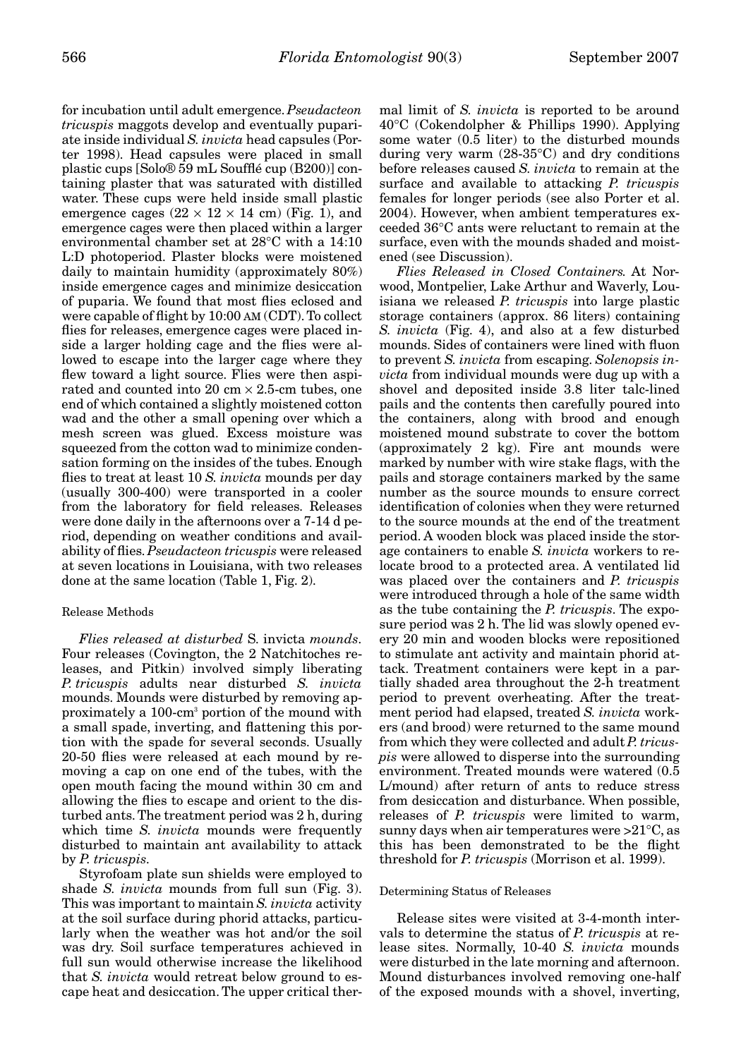for incubation until adult emergence.*Pseudacteon tricuspis* maggots develop and eventually pupariate inside individual *S. invicta* head capsules (Porter 1998). Head capsules were placed in small plastic cups [Solo® 59 mL Soufflé cup (B200)] containing plaster that was saturated with distilled water. These cups were held inside small plastic emergence cages  $(22 \times 12 \times 14 \text{ cm})$  (Fig. 1), and emergence cages were then placed within a larger environmental chamber set at 28°C with a 14:10 L:D photoperiod. Plaster blocks were moistened daily to maintain humidity (approximately 80%) inside emergence cages and minimize desiccation of puparia. We found that most flies eclosed and were capable of flight by 10:00 AM (CDT). To collect flies for releases, emergence cages were placed inside a larger holding cage and the flies were allowed to escape into the larger cage where they flew toward a light source. Flies were then aspirated and counted into 20 cm  $\times$  2.5-cm tubes, one end of which contained a slightly moistened cotton wad and the other a small opening over which a mesh screen was glued. Excess moisture was squeezed from the cotton wad to minimize condensation forming on the insides of the tubes. Enough flies to treat at least 10 *S. invicta* mounds per day (usually 300-400) were transported in a cooler from the laboratory for field releases. Releases were done daily in the afternoons over a 7-14 d period, depending on weather conditions and availability of flies. *Pseudacteon tricuspis* were released at seven locations in Louisiana, with two releases done at the same location (Table 1, Fig. 2).

# Release Methods

*Flies released at disturbed* S. invicta *mounds*. Four releases (Covington, the 2 Natchitoches releases, and Pitkin) involved simply liberating *P. tricuspis* adults near disturbed *S. invicta* mounds. Mounds were disturbed by removing approximately a 100-cm3 portion of the mound with a small spade, inverting, and flattening this portion with the spade for several seconds. Usually 20-50 flies were released at each mound by removing a cap on one end of the tubes, with the open mouth facing the mound within 30 cm and allowing the flies to escape and orient to the disturbed ants. The treatment period was 2 h, during which time *S. invicta* mounds were frequently disturbed to maintain ant availability to attack by *P. tricuspis*.

Styrofoam plate sun shields were employed to shade *S. invicta* mounds from full sun (Fig. 3). This was important to maintain *S. invicta* activity at the soil surface during phorid attacks, particularly when the weather was hot and/or the soil was dry. Soil surface temperatures achieved in full sun would otherwise increase the likelihood that *S. invicta* would retreat below ground to escape heat and desiccation. The upper critical thermal limit of *S. invicta* is reported to be around 40°C (Cokendolpher & Phillips 1990). Applying some water (0.5 liter) to the disturbed mounds during very warm  $(28-35^{\circ}C)$  and dry conditions before releases caused *S. invicta* to remain at the surface and available to attacking *P. tricuspis* females for longer periods (see also Porter et al. 2004). However, when ambient temperatures exceeded 36°C ants were reluctant to remain at the surface, even with the mounds shaded and moistened (see Discussion).

*Flies Released in Closed Containers.* At Norwood, Montpelier, Lake Arthur and Waverly, Louisiana we released *P. tricuspis* into large plastic storage containers (approx. 86 liters) containing *S. invicta* (Fig. 4), and also at a few disturbed mounds. Sides of containers were lined with fluon to prevent *S. invicta* from escaping. *Solenopsis invicta* from individual mounds were dug up with a shovel and deposited inside 3.8 liter talc-lined pails and the contents then carefully poured into the containers, along with brood and enough moistened mound substrate to cover the bottom (approximately 2 kg). Fire ant mounds were marked by number with wire stake flags, with the pails and storage containers marked by the same number as the source mounds to ensure correct identification of colonies when they were returned to the source mounds at the end of the treatment period. A wooden block was placed inside the storage containers to enable *S. invicta* workers to relocate brood to a protected area. A ventilated lid was placed over the containers and *P. tricuspis* were introduced through a hole of the same width as the tube containing the *P. tricuspis*. The exposure period was 2 h. The lid was slowly opened every 20 min and wooden blocks were repositioned to stimulate ant activity and maintain phorid attack. Treatment containers were kept in a partially shaded area throughout the 2-h treatment period to prevent overheating. After the treatment period had elapsed, treated *S. invicta* workers (and brood) were returned to the same mound from which they were collected and adult *P. tricuspis* were allowed to disperse into the surrounding environment. Treated mounds were watered (0.5 L/mound) after return of ants to reduce stress from desiccation and disturbance. When possible, releases of *P. tricuspis* were limited to warm, sunny days when air temperatures were  $>21^{\circ}$ C, as this has been demonstrated to be the flight threshold for *P. tricuspis* (Morrison et al. 1999).

#### Determining Status of Releases

Release sites were visited at 3-4-month intervals to determine the status of *P. tricuspis* at release sites. Normally, 10-40 *S. invicta* mounds were disturbed in the late morning and afternoon. Mound disturbances involved removing one-half of the exposed mounds with a shovel, inverting,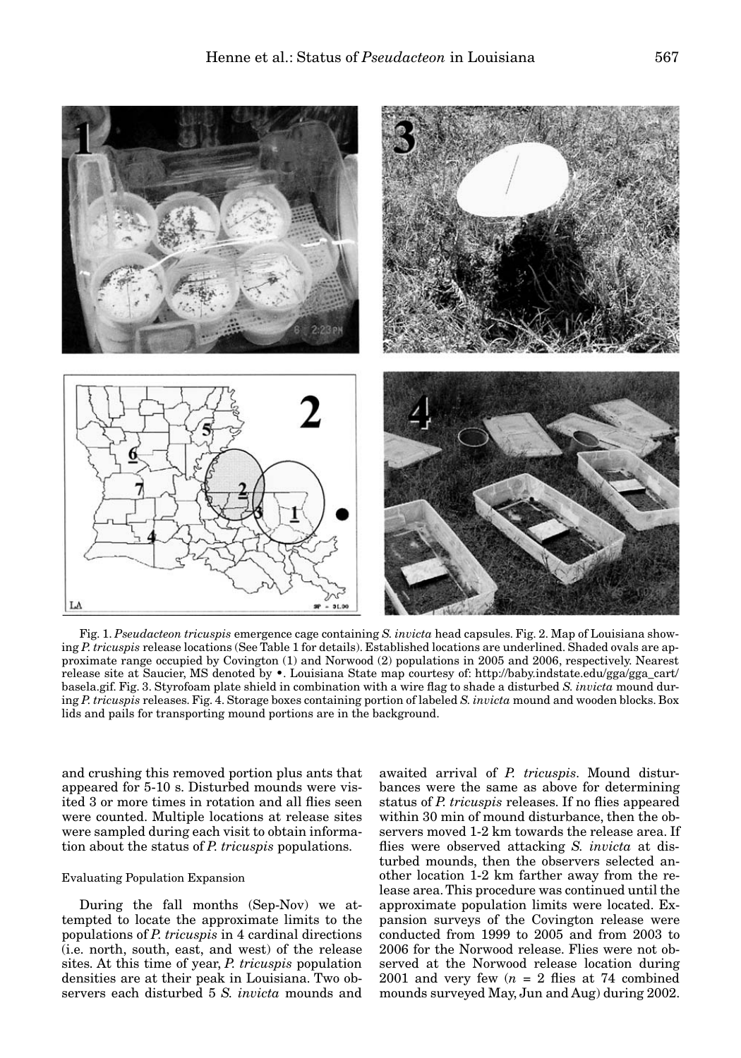

Fig. 1. *Pseudacteon tricuspis* emergence cage containing *S. invicta* head capsules. Fig. 2. Map of Louisiana showing *P. tricuspis* release locations (See Table 1 for details). Established locations are underlined. Shaded ovals are approximate range occupied by Covington (1) and Norwood (2) populations in 2005 and 2006, respectively. Nearest release site at Saucier, MS denoted by •. Louisiana State map courtesy of: http://baby.indstate.edu/gga/gga\_cart/ basela.gif. Fig. 3. Styrofoam plate shield in combination with a wire flag to shade a disturbed *S. invicta* mound during *P. tricuspis* releases. Fig. 4. Storage boxes containing portion of labeled *S. invicta* mound and wooden blocks. Box lids and pails for transporting mound portions are in the background.

and crushing this removed portion plus ants that appeared for 5-10 s. Disturbed mounds were visited 3 or more times in rotation and all flies seen were counted. Multiple locations at release sites were sampled during each visit to obtain information about the status of *P. tricuspis* populations.

### Evaluating Population Expansion

During the fall months (Sep-Nov) we attempted to locate the approximate limits to the populations of *P. tricuspis* in 4 cardinal directions (i.e. north, south, east, and west) of the release sites. At this time of year, *P. tricuspis* population densities are at their peak in Louisiana. Two observers each disturbed 5 *S. invicta* mounds and

awaited arrival of *P. tricuspis*. Mound disturbances were the same as above for determining status of *P. tricuspis* releases. If no flies appeared within 30 min of mound disturbance, then the observers moved 1-2 km towards the release area. If flies were observed attacking *S. invicta* at disturbed mounds, then the observers selected another location 1-2 km farther away from the release area. This procedure was continued until the approximate population limits were located. Expansion surveys of the Covington release were conducted from 1999 to 2005 and from 2003 to 2006 for the Norwood release. Flies were not observed at the Norwood release location during 2001 and very few  $(n = 2$  flies at 74 combined mounds surveyed May, Jun and Aug) during 2002.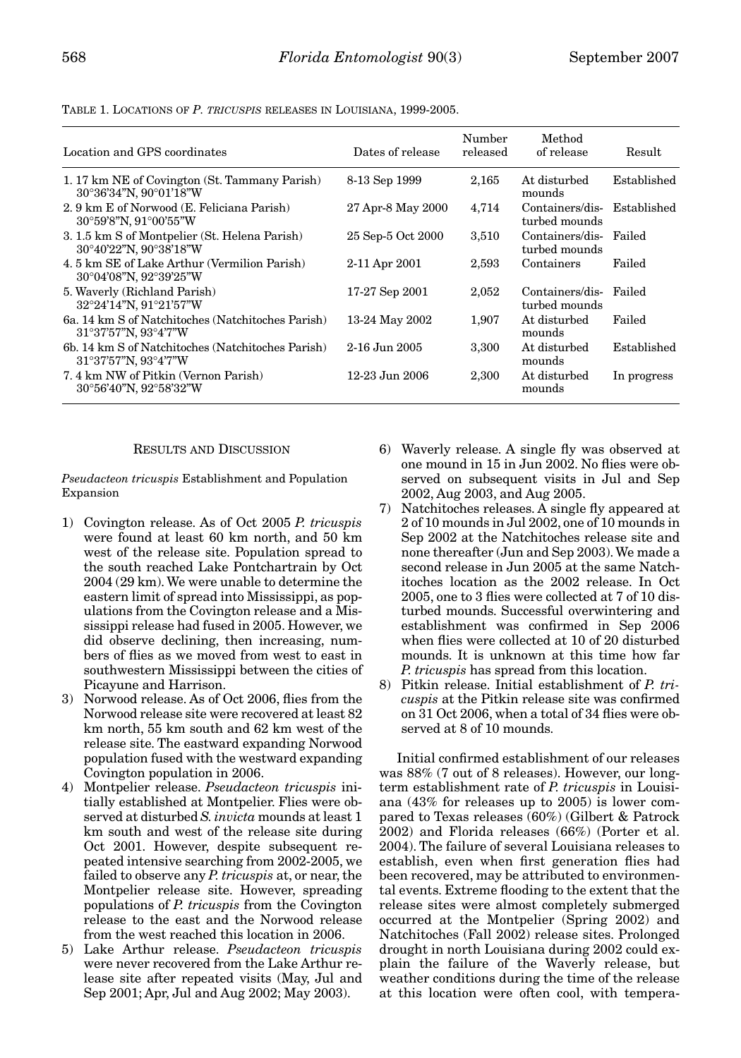| Location and GPS coordinates                                                                   | Dates of release  | Number<br>released | Method<br>of release             | Result      |
|------------------------------------------------------------------------------------------------|-------------------|--------------------|----------------------------------|-------------|
| 1. 17 km NE of Covington (St. Tammany Parish)<br>30°36'34"N, 90°01'18"W                        | 8-13 Sep 1999     | 2,165              | At disturbed<br>mounds           | Established |
| 2.9 km E of Norwood (E. Feliciana Parish)<br>30°59'8"N, 91°00'55"W                             | 27 Apr-8 May 2000 | 4,714              | Containers/dis-<br>turbed mounds | Established |
| 3. 1.5 km S of Montpelier (St. Helena Parish)<br>30°40'22"N, 90°38'18"W                        | 25 Sep-5 Oct 2000 | 3,510              | Containers/dis-<br>turbed mounds | Failed      |
| 4.5 km SE of Lake Arthur (Vermilion Parish)<br>30°04'08"N, 92°39'25"W                          | 2-11 Apr 2001     | 2,593              | Containers                       | Failed      |
| 5. Waverly (Richland Parish)<br>32°24'14"N, 91°21'57"W                                         | 17-27 Sep 2001    | 2,052              | Containers/dis-<br>turbed mounds | Failed      |
| 6a. 14 km S of Natchitoches (Natchitoches Parish)<br>$31^{\circ}37'57''N$ , $93^{\circ}4'7''W$ | 13-24 May 2002    | 1,907              | At disturbed<br>mounds           | Failed      |
| 6b. 14 km S of Natchitoches (Natchitoches Parish)<br>$31^{\circ}37'57''N$ , $93^{\circ}4'7''W$ | $2-16$ Jun 2005   | 3,300              | At disturbed<br>mounds           | Established |
| 7.4 km NW of Pitkin (Vernon Parish)<br>30°56'40"N, 92°58'32"W                                  | 12-23 Jun 2006    | 2,300              | At disturbed<br>mounds           | In progress |

TABLE 1. LOCATIONS OF *P. TRICUSPIS* RELEASES IN LOUISIANA, 1999-2005.

### RESULTS AND DISCUSSION

*Pseudacteon tricuspis* Establishment and Population Expansion

- 1) Covington release. As of Oct 2005 *P. tricuspis* were found at least 60 km north, and 50 km west of the release site. Population spread to the south reached Lake Pontchartrain by Oct 2004 (29 km). We were unable to determine the eastern limit of spread into Mississippi, as populations from the Covington release and a Mississippi release had fused in 2005. However, we did observe declining, then increasing, numbers of flies as we moved from west to east in southwestern Mississippi between the cities of Picayune and Harrison.
- 3) Norwood release. As of Oct 2006, flies from the Norwood release site were recovered at least 82 km north, 55 km south and 62 km west of the release site. The eastward expanding Norwood population fused with the westward expanding Covington population in 2006.
- 4) Montpelier release. *Pseudacteon tricuspis* initially established at Montpelier. Flies were observed at disturbed *S.invicta* mounds at least 1 km south and west of the release site during Oct 2001. However, despite subsequent repeated intensive searching from 2002-2005, we failed to observe any *P. tricuspis* at, or near, the Montpelier release site. However, spreading populations of *P. tricuspis* from the Covington release to the east and the Norwood release from the west reached this location in 2006.
- 5) Lake Arthur release. *Pseudacteon tricuspis* were never recovered from the Lake Arthur release site after repeated visits (May, Jul and Sep 2001; Apr, Jul and Aug 2002; May 2003).
- 6) Waverly release. A single fly was observed at one mound in 15 in Jun 2002. No flies were observed on subsequent visits in Jul and Sep 2002, Aug 2003, and Aug 2005.
- 7) Natchitoches releases. A single fly appeared at 2 of 10 mounds in Jul 2002, one of 10 mounds in Sep 2002 at the Natchitoches release site and none thereafter (Jun and Sep 2003). We made a second release in Jun 2005 at the same Natchitoches location as the 2002 release. In Oct 2005, one to 3 flies were collected at 7 of 10 disturbed mounds. Successful overwintering and establishment was confirmed in Sep 2006 when flies were collected at 10 of 20 disturbed mounds. It is unknown at this time how far *P. tricuspis* has spread from this location.
- 8) Pitkin release. Initial establishment of *P. tricuspis* at the Pitkin release site was confirmed on 31 Oct 2006, when a total of 34 flies were observed at 8 of 10 mounds.

Initial confirmed establishment of our releases was 88% (7 out of 8 releases). However, our longterm establishment rate of *P. tricuspis* in Louisiana (43% for releases up to 2005) is lower compared to Texas releases (60%) (Gilbert & Patrock 2002) and Florida releases (66%) (Porter et al. 2004). The failure of several Louisiana releases to establish, even when first generation flies had been recovered, may be attributed to environmental events. Extreme flooding to the extent that the release sites were almost completely submerged occurred at the Montpelier (Spring 2002) and Natchitoches (Fall 2002) release sites. Prolonged drought in north Louisiana during 2002 could explain the failure of the Waverly release, but weather conditions during the time of the release at this location were often cool, with tempera